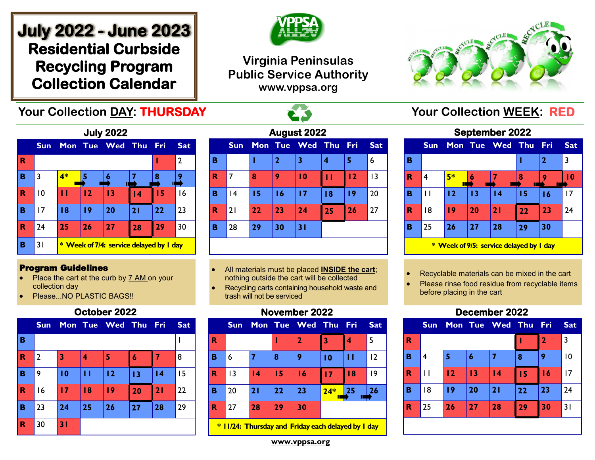# **July 2022 - June 2023 Residential Curbside Recycling Program Collection Calendar**



## **Virginia Peninsulas Public Service Authority www.vppsa.org**



## **Your Collection DAY: THURSDAY AND READ REPORTS TO Your Collection WEEK: RED**



#### Program Guidelines

- Place the cart at the curb by 7 AM on your collection day
- Please...NO PLASTIC BAGS!!

#### **October 2022**

|             | <b>Sun</b>     |    |    | Mon Tue Wed Thu Fri |    |    | <b>Sat</b> |
|-------------|----------------|----|----|---------------------|----|----|------------|
| B           |                |    |    |                     |    |    |            |
| $\mathbf R$ | $\overline{2}$ | 3  | 4  | 5                   | 6  |    | 8          |
| B           | 9              | 10 | П  | 12                  | 13 | 4  | 15         |
| $\mathbf R$ | 16             | 17 | 18 | 9                   | 20 | 21 | 22         |
| B           | 23             | 24 | 25 | 26                  | 27 | 28 | 29         |
| $\mathbf R$ | 30             | 31 |    |                     |    |    |            |

| August 2022 |            |    |                |                 |    |       |                 |  |  |  |
|-------------|------------|----|----------------|-----------------|----|-------|-----------------|--|--|--|
|             | <b>Sun</b> |    |                | Mon Tue Wed Thu |    | - Fri | <b>Sat</b>      |  |  |  |
| B           |            |    | $\overline{2}$ | 3               | 4  | 5     | 6               |  |  |  |
| R           | 7          | 8  | 9              | $\overline{10}$ | П  | 12    | $\overline{13}$ |  |  |  |
| в           | 4          | 15 | 16             | 17              | 18 | 19    | 20              |  |  |  |
| R           | 21         | 22 | 23             | 24              | 25 | 26    | 27              |  |  |  |
| B           | 28         | 29 | 30             | 31              |    |       |                 |  |  |  |
|             |            |    |                |                 |    |       |                 |  |  |  |

- All materials must be placed **INSIDE the cart**; nothing outside the cart will be collected
- Recycling carts containing household waste and trash will not be serviced

### **November 2022**



**\* 11/24: Thursday and Friday each delayed by 1 day**

## **September 2022**

|                                         | <b>Sun</b> |    |    | Mon Tue Wed Thu |    | - Fri        | <b>Sat</b>      |  |
|-----------------------------------------|------------|----|----|-----------------|----|--------------|-----------------|--|
| B                                       |            |    |    |                 |    | $\mathbf{2}$ | 3               |  |
| R                                       | 4          | 5* | Ш  |                 | 8  |              | $\overline{10}$ |  |
| B                                       | Ħ          | 12 | 13 | $\overline{14}$ | 15 | 16           | 17              |  |
| R                                       | 18         | 19 | 20 | 21              | 22 | 23           | 24              |  |
| B                                       | 25         | 26 | 27 | 28              | 29 | 30           |                 |  |
| * Week of 9/5: service delayed by I day |            |    |    |                 |    |              |                 |  |

• Recyclable materials can be mixed in the cart

• Please rinse food residue from recyclable items before placing in the cart

## **December 2022**



**www.vppsa.org**